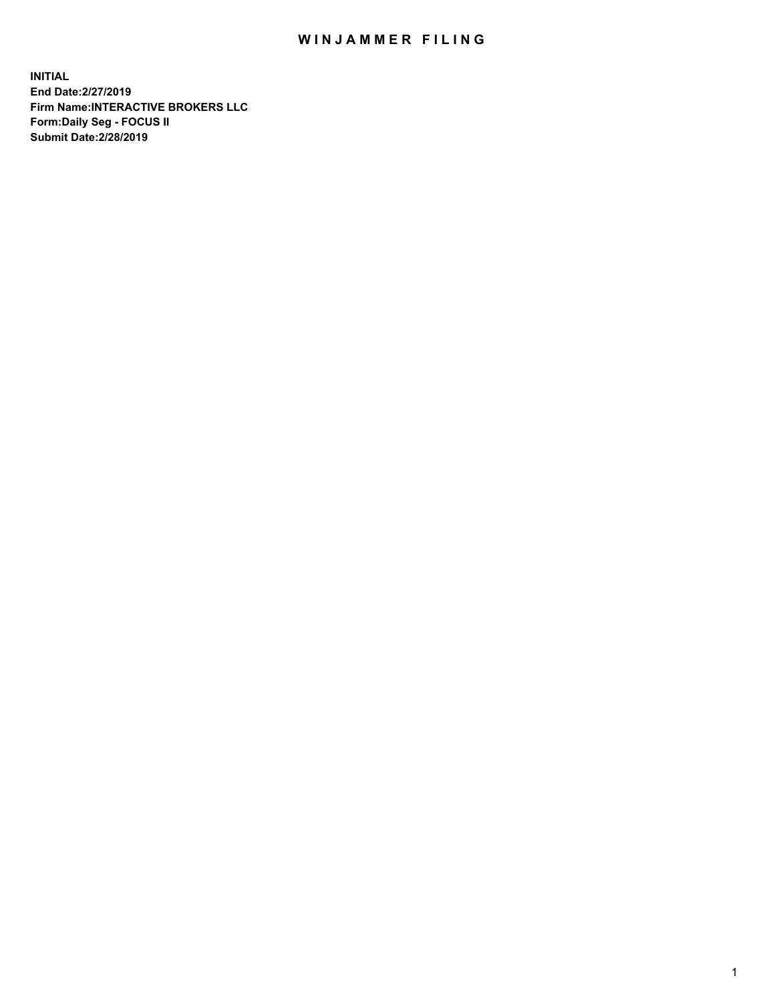## WIN JAMMER FILING

**INITIAL End Date:2/27/2019 Firm Name:INTERACTIVE BROKERS LLC Form:Daily Seg - FOCUS II Submit Date:2/28/2019**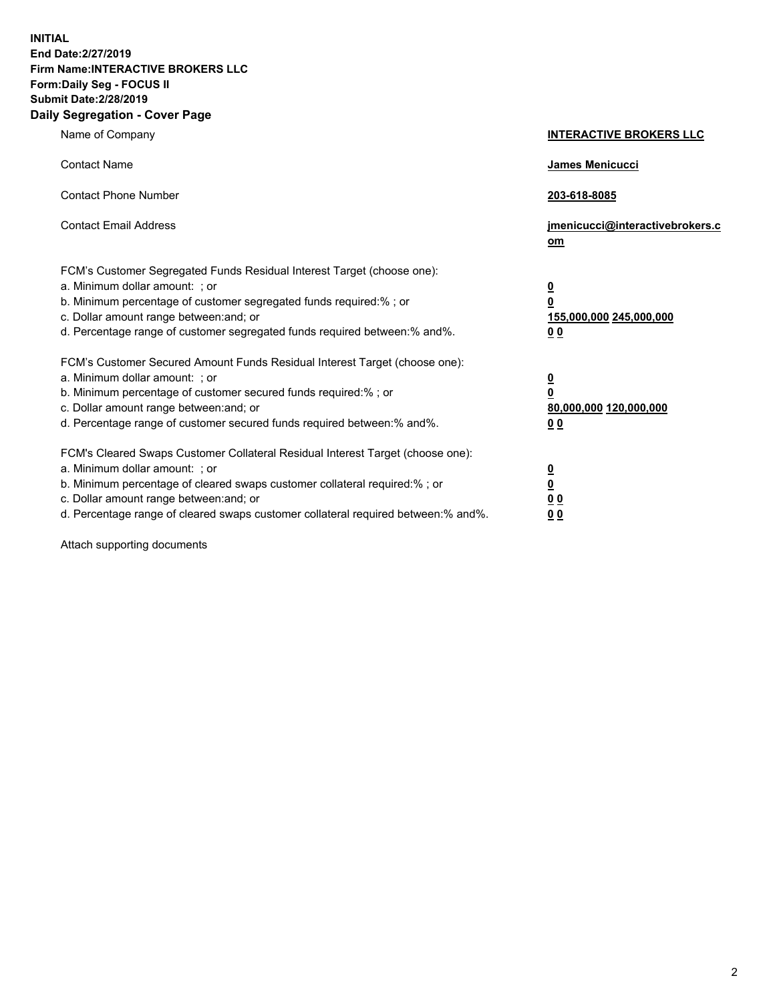**INITIAL End Date:2/27/2019 Firm Name:INTERACTIVE BROKERS LLC Form:Daily Seg - FOCUS II Submit Date:2/28/2019 Daily Segregation - Cover Page**

| Name of Company                                                                                                                                                                                                                                                                                                                | <b>INTERACTIVE BROKERS LLC</b>                                                   |
|--------------------------------------------------------------------------------------------------------------------------------------------------------------------------------------------------------------------------------------------------------------------------------------------------------------------------------|----------------------------------------------------------------------------------|
| <b>Contact Name</b>                                                                                                                                                                                                                                                                                                            | James Menicucci                                                                  |
| <b>Contact Phone Number</b>                                                                                                                                                                                                                                                                                                    | 203-618-8085                                                                     |
| <b>Contact Email Address</b>                                                                                                                                                                                                                                                                                                   | jmenicucci@interactivebrokers.c<br>om                                            |
| FCM's Customer Segregated Funds Residual Interest Target (choose one):<br>a. Minimum dollar amount: ; or<br>b. Minimum percentage of customer segregated funds required:% ; or<br>c. Dollar amount range between: and; or<br>d. Percentage range of customer segregated funds required between:% and%.                         | <u>0</u><br>$\overline{\mathbf{0}}$<br>155,000,000 245,000,000<br>0 <sub>0</sub> |
| FCM's Customer Secured Amount Funds Residual Interest Target (choose one):<br>a. Minimum dollar amount: ; or<br>b. Minimum percentage of customer secured funds required:% ; or<br>c. Dollar amount range between: and; or<br>d. Percentage range of customer secured funds required between:% and%.                           | <u>0</u><br>$\overline{\mathbf{0}}$<br>80,000,000 120,000,000<br>0 <sub>0</sub>  |
| FCM's Cleared Swaps Customer Collateral Residual Interest Target (choose one):<br>a. Minimum dollar amount: ; or<br>b. Minimum percentage of cleared swaps customer collateral required:% ; or<br>c. Dollar amount range between: and; or<br>d. Percentage range of cleared swaps customer collateral required between:% and%. | <u>0</u><br>$\underline{\mathbf{0}}$<br>0 <sub>0</sub><br>0 <sub>0</sub>         |

Attach supporting documents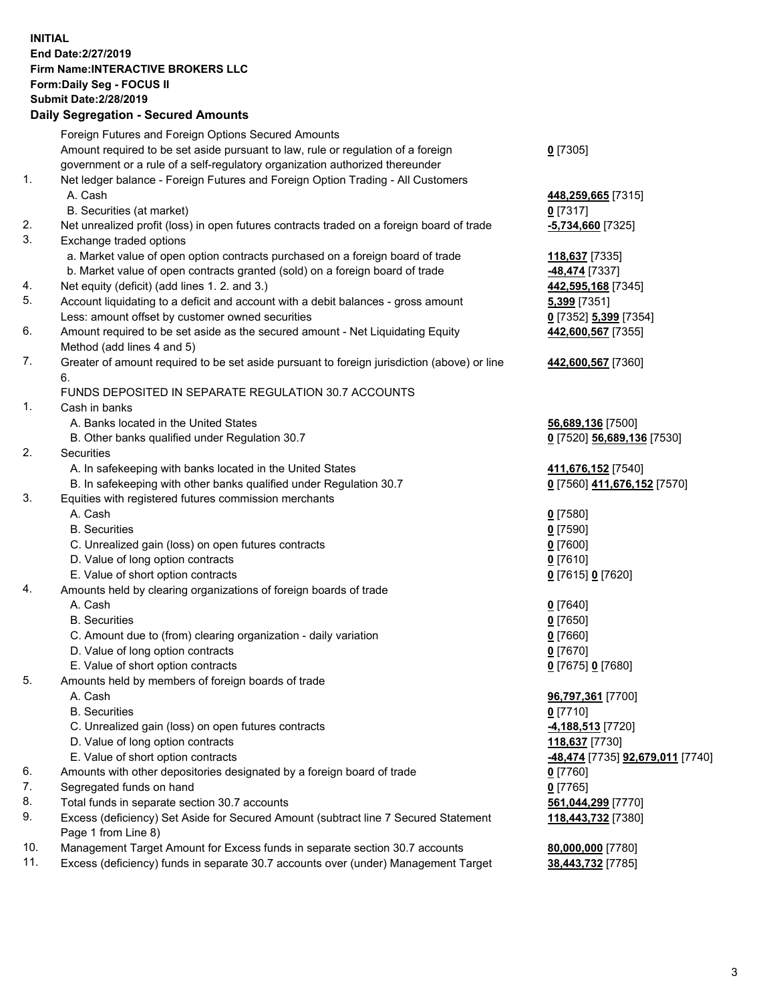## **INITIAL End Date:2/27/2019 Firm Name:INTERACTIVE BROKERS LLC Form:Daily Seg - FOCUS II Submit Date:2/28/2019 Daily Segregation - Secured Amounts**

|                | Daily Ocglegation - Occuled Aniounts                                                              |                                                |
|----------------|---------------------------------------------------------------------------------------------------|------------------------------------------------|
|                | Foreign Futures and Foreign Options Secured Amounts                                               |                                                |
|                | Amount required to be set aside pursuant to law, rule or regulation of a foreign                  | $0$ [7305]                                     |
|                | government or a rule of a self-regulatory organization authorized thereunder                      |                                                |
| $\mathbf{1}$ . | Net ledger balance - Foreign Futures and Foreign Option Trading - All Customers                   |                                                |
|                | A. Cash                                                                                           | 448,259,665 [7315]                             |
|                | B. Securities (at market)                                                                         | $0$ [7317]                                     |
| 2.             | Net unrealized profit (loss) in open futures contracts traded on a foreign board of trade         | $-5,734,660$ [7325]                            |
| 3.             | Exchange traded options                                                                           |                                                |
|                | a. Market value of open option contracts purchased on a foreign board of trade                    | 118,637 [7335]                                 |
|                | b. Market value of open contracts granted (sold) on a foreign board of trade                      | -48,474 [7337]                                 |
| 4.             | Net equity (deficit) (add lines 1.2. and 3.)                                                      | 442,595,168 [7345]                             |
| 5.             | Account liquidating to a deficit and account with a debit balances - gross amount                 | <b>5,399</b> [7351]                            |
|                | Less: amount offset by customer owned securities                                                  | 0 [7352] 5,399 [7354]                          |
| 6.             | Amount required to be set aside as the secured amount - Net Liquidating Equity                    | 442,600,567 [7355]                             |
|                | Method (add lines 4 and 5)                                                                        |                                                |
| 7.             | Greater of amount required to be set aside pursuant to foreign jurisdiction (above) or line<br>6. | 442,600,567 [7360]                             |
|                | FUNDS DEPOSITED IN SEPARATE REGULATION 30.7 ACCOUNTS                                              |                                                |
| 1.             | Cash in banks                                                                                     |                                                |
|                | A. Banks located in the United States                                                             | 56,689,136 [7500]                              |
|                | B. Other banks qualified under Regulation 30.7                                                    | 0 [7520] 56,689,136 [7530]                     |
| 2.             | Securities                                                                                        |                                                |
|                | A. In safekeeping with banks located in the United States                                         | 411,676,152 <sub>[7540]</sub>                  |
|                | B. In safekeeping with other banks qualified under Regulation 30.7                                | 0 [7560] 411,676,152 [7570]                    |
| 3.             | Equities with registered futures commission merchants                                             |                                                |
|                | A. Cash                                                                                           | $0$ [7580]                                     |
|                | <b>B.</b> Securities                                                                              | $0$ [7590]                                     |
|                | C. Unrealized gain (loss) on open futures contracts                                               | $0$ [7600]                                     |
|                | D. Value of long option contracts                                                                 | $0$ [7610]                                     |
|                | E. Value of short option contracts                                                                | 0 [7615] 0 [7620]                              |
| 4.             | Amounts held by clearing organizations of foreign boards of trade                                 |                                                |
|                | A. Cash                                                                                           | $0$ [7640]                                     |
|                | <b>B.</b> Securities                                                                              | $0$ [7650]                                     |
|                | C. Amount due to (from) clearing organization - daily variation                                   | $0$ [7660]                                     |
|                | D. Value of long option contracts                                                                 | $0$ [7670]                                     |
|                | E. Value of short option contracts                                                                | 0 [7675] 0 [7680]                              |
| 5.             | Amounts held by members of foreign boards of trade                                                |                                                |
|                | A. Cash                                                                                           | 96,797,361 [7700]                              |
|                | <b>B.</b> Securities                                                                              | $0$ [7710]                                     |
|                | C. Unrealized gain (loss) on open futures contracts                                               | 4,188,513 [7720]                               |
|                | D. Value of long option contracts                                                                 | 118,637 [7730]                                 |
|                | E. Value of short option contracts                                                                | <u>-48,474</u> [7735] <u>92,679,011</u> [7740] |
| 6.             | Amounts with other depositories designated by a foreign board of trade                            | 0 [7760]                                       |
| 7.             | Segregated funds on hand                                                                          | $0$ [7765]                                     |
| 8.             | Total funds in separate section 30.7 accounts                                                     | 561,044,299 [7770]                             |
| 9.             | Excess (deficiency) Set Aside for Secured Amount (subtract line 7 Secured Statement               | 118,443,732 [7380]                             |
|                | Page 1 from Line 8)                                                                               |                                                |
| 10.            | Management Target Amount for Excess funds in separate section 30.7 accounts                       | 80,000,000 [7780]                              |
| 11.            | Excess (deficiency) funds in separate 30.7 accounts over (under) Management Target                | 38,443,732 [7785]                              |
|                |                                                                                                   |                                                |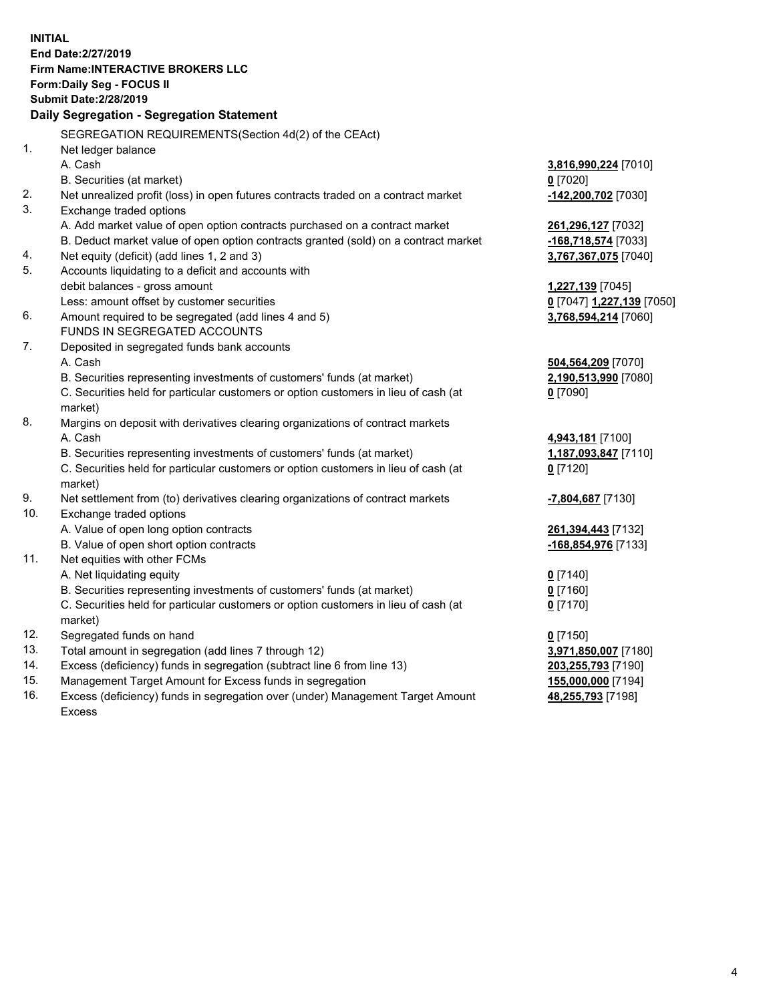**INITIAL End Date:2/27/2019 Firm Name:INTERACTIVE BROKERS LLC Form:Daily Seg - FOCUS II Submit Date:2/28/2019 Daily Segregation - Segregation Statement** SEGREGATION REQUIREMENTS(Section 4d(2) of the CEAct) 1. Net ledger balance A. Cash **3,816,990,224** [7010] B. Securities (at market) **0** [7020] 2. Net unrealized profit (loss) in open futures contracts traded on a contract market **-142,200,702** [7030] 3. Exchange traded options A. Add market value of open option contracts purchased on a contract market **261,296,127** [7032] B. Deduct market value of open option contracts granted (sold) on a contract market **-168,718,574** [7033] 4. Net equity (deficit) (add lines 1, 2 and 3) **3,767,367,075** [7040] 5. Accounts liquidating to a deficit and accounts with debit balances - gross amount **1,227,139** [7045] Less: amount offset by customer securities **0** [7047] **1,227,139** [7050] 6. Amount required to be segregated (add lines 4 and 5) **3,768,594,214** [7060] FUNDS IN SEGREGATED ACCOUNTS 7. Deposited in segregated funds bank accounts A. Cash **504,564,209** [7070] B. Securities representing investments of customers' funds (at market) **2,190,513,990** [7080] C. Securities held for particular customers or option customers in lieu of cash (at market) **0** [7090] 8. Margins on deposit with derivatives clearing organizations of contract markets A. Cash **4,943,181** [7100] B. Securities representing investments of customers' funds (at market) **1,187,093,847** [7110] C. Securities held for particular customers or option customers in lieu of cash (at market) **0** [7120] 9. Net settlement from (to) derivatives clearing organizations of contract markets **-7,804,687** [7130] 10. Exchange traded options A. Value of open long option contracts **261,394,443** [7132] B. Value of open short option contracts **-168,854,976** [7133] 11. Net equities with other FCMs A. Net liquidating equity **0** [7140] B. Securities representing investments of customers' funds (at market) **0** [7160] C. Securities held for particular customers or option customers in lieu of cash (at market) **0** [7170] 12. Segregated funds on hand **0** [7150] 13. Total amount in segregation (add lines 7 through 12) **3,971,850,007** [7180] 14. Excess (deficiency) funds in segregation (subtract line 6 from line 13) **203,255,793** [7190] 15. Management Target Amount for Excess funds in segregation **155,000,000** [7194] **48,255,793** [7198]

16. Excess (deficiency) funds in segregation over (under) Management Target Amount Excess